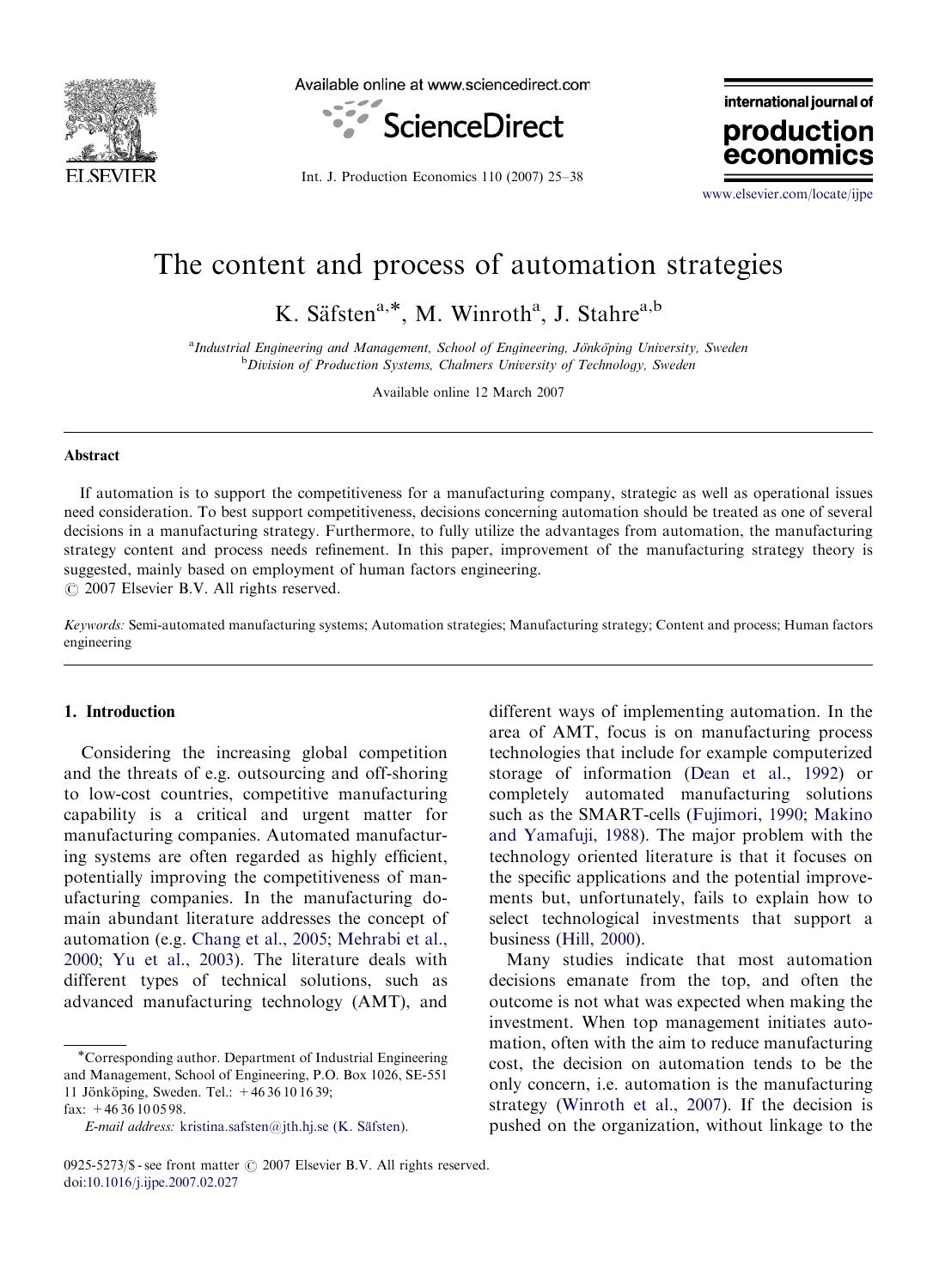

Available online at www.sciencedirect.com



Int. J. Production Economics 110 (2007) 25–38

international journal of production econon

<www.elsevier.com/locate/ijpe>

# The content and process of automation strategies

K. Säfsten<sup>a,\*</sup>, M. Winroth<sup>a</sup>, J. Stahre<sup>a,b</sup>

<sup>a</sup> Industrial Engineering and Management, School of Engineering, Jönköping University, Sweden<br><sup>b</sup> Division of Production Systems, Chalmars University of Technology, Sweden <sup>b</sup>Division of Production Systems, Chalmers University of Technology, Sweden

Available online 12 March 2007

#### Abstract

If automation is to support the competitiveness for a manufacturing company, strategic as well as operational issues need consideration. To best support competitiveness, decisions concerning automation should be treated as one of several decisions in a manufacturing strategy. Furthermore, to fully utilize the advantages from automation, the manufacturing strategy content and process needs refinement. In this paper, improvement of the manufacturing strategy theory is suggested, mainly based on employment of human factors engineering.

 $O$  2007 Elsevier B.V. All rights reserved.

Keywords: Semi-automated manufacturing systems; Automation strategies; Manufacturing strategy; Content and process; Human factors engineering

### 1. Introduction

Considering the increasing global competition and the threats of e.g. outsourcing and off-shoring to low-cost countries, competitive manufacturing capability is a critical and urgent matter for manufacturing companies. Automated manufacturing systems are often regarded as highly efficient, potentially improving the competitiveness of manufacturing companies. In the manufacturing domain abundant literature addresses the concept of automation (e.g. [Chang et al., 2005;](#page--1-0) [Mehrabi et al.,](#page--1-0) [2000;](#page--1-0) [Yu et al., 2003\)](#page--1-0). The literature deals with different types of technical solutions, such as advanced manufacturing technology (AMT), and

different ways of implementing automation. In the area of AMT, focus is on manufacturing process technologies that include for example computerized storage of information ([Dean et al., 1992](#page--1-0)) or completely automated manufacturing solutions such as the SMART-cells ([Fujimori, 1990;](#page--1-0) [Makino](#page--1-0) [and Yamafuji, 1988](#page--1-0)). The major problem with the technology oriented literature is that it focuses on the specific applications and the potential improvements but, unfortunately, fails to explain how to select technological investments that support a business ([Hill, 2000](#page--1-0)).

Many studies indicate that most automation decisions emanate from the top, and often the outcome is not what was expected when making the investment. When top management initiates automation, often with the aim to reduce manufacturing cost, the decision on automation tends to be the only concern, i.e. automation is the manufacturing strategy ([Winroth et al., 2007\)](#page--1-0). If the decision is pushed on the organization, without linkage to the

<sup>-</sup>Corresponding author. Department of Industrial Engineering and Management, School of Engineering, P.O. Box 1026, SE-551 11 Jönköping, Sweden. Tel.:  $+4636101639$ ; fax: +46 36 10 05 98.

E-mail address: kristina.safsten@jth.hj.se (K. Säfsten).

<sup>0925-5273/\$ -</sup> see front matter  $\odot$  2007 Elsevier B.V. All rights reserved. doi:[10.1016/j.ijpe.2007.02.027](dx.doi.org/10.1016/j.ijpe.2007.02.027)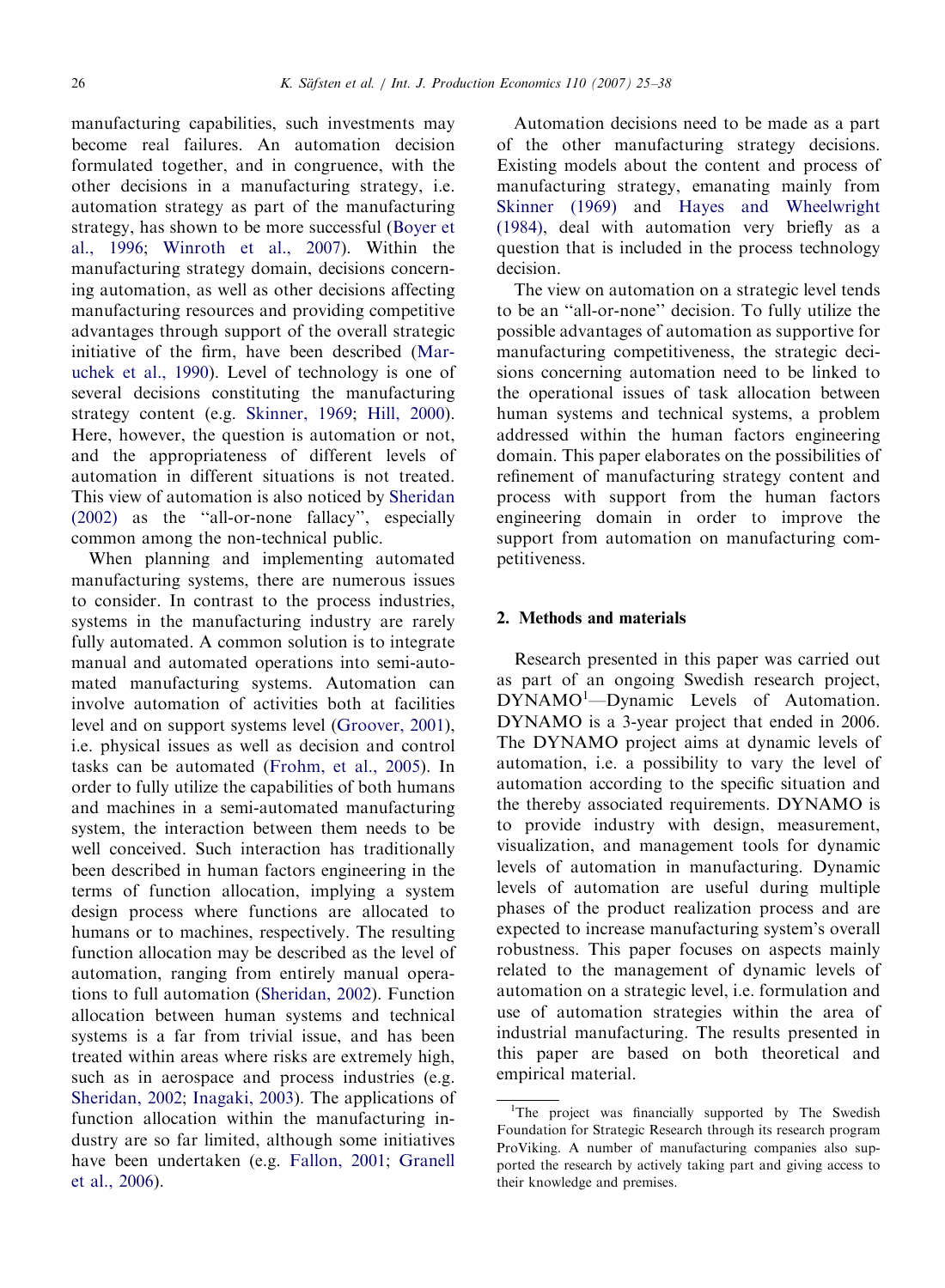manufacturing capabilities, such investments may become real failures. An automation decision formulated together, and in congruence, with the other decisions in a manufacturing strategy, i.e. automation strategy as part of the manufacturing strategy, has shown to be more successful [\(Boyer et](#page--1-0) [al., 1996;](#page--1-0) [Winroth et al., 2007](#page--1-0)). Within the manufacturing strategy domain, decisions concerning automation, as well as other decisions affecting manufacturing resources and providing competitive advantages through support of the overall strategic initiative of the firm, have been described [\(Mar](#page--1-0)[uchek et al., 1990](#page--1-0)). Level of technology is one of several decisions constituting the manufacturing strategy content (e.g. [Skinner, 1969](#page--1-0); [Hill, 2000](#page--1-0)). Here, however, the question is automation or not, and the appropriateness of different levels of automation in different situations is not treated. This view of automation is also noticed by [Sheridan](#page--1-0) [\(2002\)](#page--1-0) as the ''all-or-none fallacy'', especially common among the non-technical public.

When planning and implementing automated manufacturing systems, there are numerous issues to consider. In contrast to the process industries, systems in the manufacturing industry are rarely fully automated. A common solution is to integrate manual and automated operations into semi-automated manufacturing systems. Automation can involve automation of activities both at facilities level and on support systems level [\(Groover, 2001](#page--1-0)), i.e. physical issues as well as decision and control tasks can be automated [\(Frohm, et al., 2005](#page--1-0)). In order to fully utilize the capabilities of both humans and machines in a semi-automated manufacturing system, the interaction between them needs to be well conceived. Such interaction has traditionally been described in human factors engineering in the terms of function allocation, implying a system design process where functions are allocated to humans or to machines, respectively. The resulting function allocation may be described as the level of automation, ranging from entirely manual operations to full automation [\(Sheridan, 2002](#page--1-0)). Function allocation between human systems and technical systems is a far from trivial issue, and has been treated within areas where risks are extremely high, such as in aerospace and process industries (e.g. [Sheridan, 2002](#page--1-0); [Inagaki, 2003](#page--1-0)). The applications of function allocation within the manufacturing industry are so far limited, although some initiatives have been undertaken (e.g. [Fallon, 2001](#page--1-0); [Granell](#page--1-0) [et al., 2006\)](#page--1-0).

Automation decisions need to be made as a part of the other manufacturing strategy decisions. Existing models about the content and process of manufacturing strategy, emanating mainly from [Skinner \(1969\)](#page--1-0) and [Hayes and Wheelwright](#page--1-0) [\(1984\),](#page--1-0) deal with automation very briefly as a question that is included in the process technology decision.

The view on automation on a strategic level tends to be an ''all-or-none'' decision. To fully utilize the possible advantages of automation as supportive for manufacturing competitiveness, the strategic decisions concerning automation need to be linked to the operational issues of task allocation between human systems and technical systems, a problem addressed within the human factors engineering domain. This paper elaborates on the possibilities of refinement of manufacturing strategy content and process with support from the human factors engineering domain in order to improve the support from automation on manufacturing competitiveness.

### 2. Methods and materials

Research presented in this paper was carried out as part of an ongoing Swedish research project, DYNAMO<sup>1</sup>-Dynamic Levels of Automation. DYNAMO is a 3-year project that ended in 2006. The DYNAMO project aims at dynamic levels of automation, i.e. a possibility to vary the level of automation according to the specific situation and the thereby associated requirements. DYNAMO is to provide industry with design, measurement, visualization, and management tools for dynamic levels of automation in manufacturing. Dynamic levels of automation are useful during multiple phases of the product realization process and are expected to increase manufacturing system's overall robustness. This paper focuses on aspects mainly related to the management of dynamic levels of automation on a strategic level, i.e. formulation and use of automation strategies within the area of industrial manufacturing. The results presented in this paper are based on both theoretical and empirical material.

<sup>&</sup>lt;sup>1</sup>The project was financially supported by The Swedish Foundation for Strategic Research through its research program ProViking. A number of manufacturing companies also supported the research by actively taking part and giving access to their knowledge and premises.